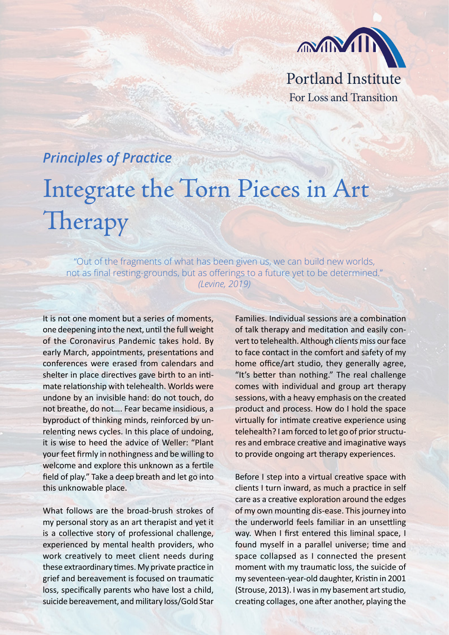

For Loss and Transition

## *Principles of Practice* Integrate the Torn Pieces in Art **Therapy**

"Out of the fragments of what has been given us, we can build new worlds, not as final resting-grounds, but as offerings to a future yet to be determined." *(Levine, 2019)*

It is not one moment but a series of moments, one deepening into the next, until the full weight of the Coronavirus Pandemic takes hold. By early March, appointments, presentations and conferences were erased from calendars and shelter in place directives gave birth to an intimate relationship with telehealth. Worlds were undone by an invisible hand: do not touch, do not breathe, do not…. Fear became insidious, a byproduct of thinking minds, reinforced by unrelenting news cycles. In this place of undoing, it is wise to heed the advice of Weller: "Plant your feet firmly in nothingness and be willing to welcome and explore this unknown as a fertile field of play." Take a deep breath and let go into this unknowable place.

What follows are the broad-brush strokes of my personal story as an art therapist and yet it is a collective story of professional challenge, experienced by mental health providers, who work creatively to meet client needs during these extraordinary times. My private practice in grief and bereavement is focused on traumatic loss, specifically parents who have lost a child, suicide bereavement, and military loss/Gold Star Families. Individual sessions are a combination of talk therapy and meditation and easily convert to telehealth. Although clients miss our face to face contact in the comfort and safety of my home office/art studio, they generally agree, "It's better than nothing." The real challenge comes with individual and group art therapy sessions, with a heavy emphasis on the created product and process. How do I hold the space virtually for intimate creative experience using telehealth? I am forced to let go of prior structures and embrace creative and imaginative ways to provide ongoing art therapy experiences.

Before I step into a virtual creative space with clients I turn inward, as much a practice in self care as a creative exploration around the edges of my own mounting dis-ease. This journey into the underworld feels familiar in an unsettling way. When I first entered this liminal space, I found myself in a parallel universe; time and space collapsed as I connected the present moment with my traumatic loss, the suicide of my seventeen-year-old daughter, Kristin in 2001 (Strouse, 2013). I was in my basement art studio, creating collages, one after another, playing the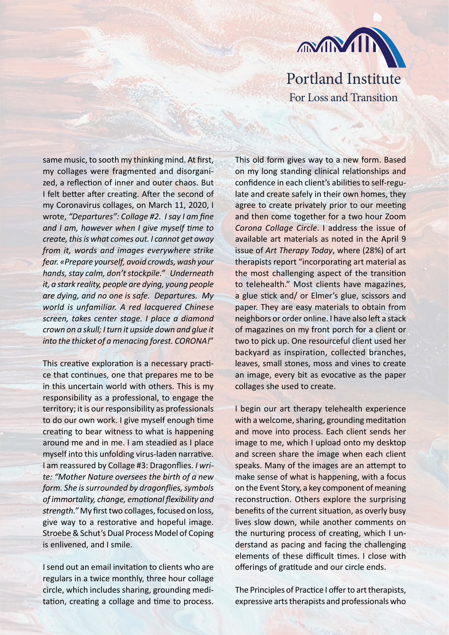

Portland Institute For Loss and Transition

same music, to sooth my thinking mind. At first, my collages were fragmented and disorganized, a reflection of inner and outer chaos. But I felt better after creating. After the second of my Coronavirus collages, on March 11, 2020, I wrote, *"Departures": Collage #2. I say I am fine and I am, however when I give myself time to create, this is what comes out. I cannot get away from it, words and images everywhere strike fear. «Prepare yourself, avoid crowds, wash your hands, stay calm, don't stockpile." Underneath it, a stark reality, people are dying, young people are dying, and no one is safe. Departures. My world is unfamiliar. A red lacquered Chinese screen, takes center stage. I place a diamond crown on a skull; I turn it upside down and glue it into the thicket of a menacing forest. CORONA!*"

This creative exploration is a necessary practice that continues, one that prepares me to be in this uncertain world with others. This is my responsibility as a professional, to engage the territory; it is our responsibility as professionals to do our own work. I give myself enough time creating to bear witness to what is happening around me and in me. I am steadied as I place myself into this unfolding virus-laden narrative. I am reassured by Collage #3: Dragonflies. *I write: "Mother Nature oversees the birth of a new form. She is surrounded by dragonflies, symbols of immortality, change, emotional flexibility and strength."* My first two collages, focused on loss, give way to a restorative and hopeful image. Stroebe & Schut's Dual Process Model of Coping is enlivened, and I smile.

I send out an email invitation to clients who are regulars in a twice monthly, three hour collage circle, which includes sharing, grounding meditation, creating a collage and time to process. This old form gives way to a new form. Based on my long standing clinical relationships and confidence in each client's abilities to self-regulate and create safely in their own homes, they agree to create privately prior to our meeting and then come together for a two hour Zoom *Corona Collage Circle*. I address the issue of available art materials as noted in the April 9 issue of *Art Therapy Today*, where (28%) of art therapists report "incorporating art material as the most challenging aspect of the transition to telehealth." Most clients have magazines, a glue stick and/ or Elmer's glue, scissors and paper. They are easy materials to obtain from neighbors or order online. I have also left a stack of magazines on my front porch for a client or two to pick up. One resourceful client used her backyard as inspiration, collected branches, leaves, small stones, moss and vines to create an image, every bit as evocative as the paper collages she used to create.

I begin our art therapy telehealth experience with a welcome, sharing, grounding meditation and move into process. Each client sends her image to me, which I upload onto my desktop and screen share the image when each client speaks. Many of the images are an attempt to make sense of what is happening, with a focus on the Event Story, a key component of meaning reconstruction. Others explore the surprising benefits of the current situation, as overly busy lives slow down, while another comments on the nurturing process of creating, which I understand as pacing and facing the challenging elements of these difficult times. I close with offerings of gratitude and our circle ends.

The Principles of Practice I offer to art therapists, expressive arts therapists and professionals who